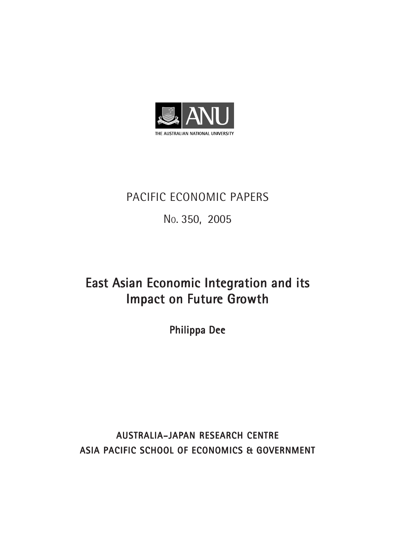

# PACIFIC ECONOMIC PAPERS NO. 350, 2005

## East Asian Economic Integration and its Impact on Future Growth

Philippa Dee

AUSTRALIA-JAPAN RESEARCH CENTRE ASIA PACIFIC SCHOOL OF ECONOMICS & GOVERNMENT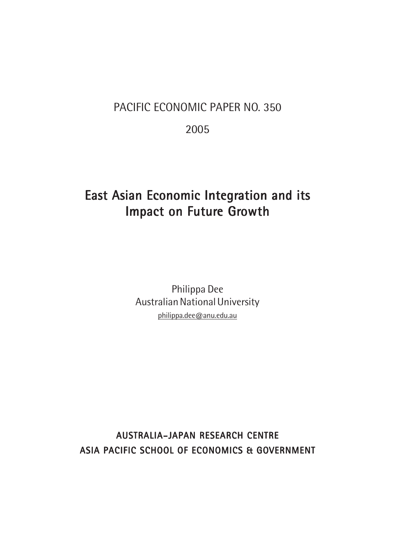## PACIFIC ECONOMIC PAPER NO. 350

### 2005

## East Asian Economic Integration and its Impact on Future Growth

Philippa Dee Australian National University philippa.dee@anu.edu.au

AUSTRALIA-JAPAN RESEARCH CENTRE ASIA PACIFIC SCHOOL OF ECONOMICS & GOVERNMENT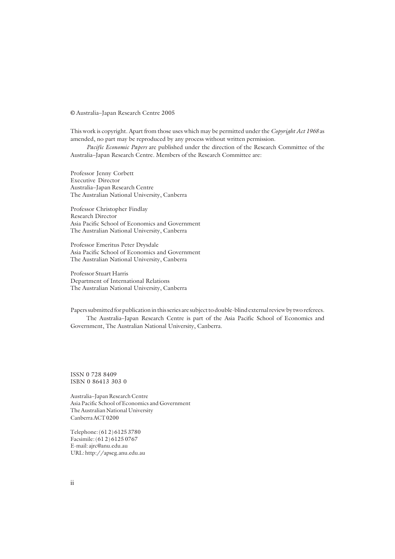**©** Australia–Japan Research Centre 2005

This work is copyright. Apart from those uses which may be permitted under the *Copyright Act 1968* as amended, no part may be reproduced by any process without written permission.

*Pacific Economic Papers* are published under the direction of the Research Committee of the Australia–Japan Research Centre. Members of the Research Committee are:

Professor Jenny Corbett Executive Director Australia–Japan Research Centre The Australian National University, Canberra

Professor Christopher Findlay Research Director Asia Pacific School of Economics and Government The Australian National University, Canberra

Professor Emeritus Peter Drysdale Asia Pacific School of Economics and Government The Australian National University, Canberra

Professor Stuart Harris Department of International Relations The Australian National University, Canberra

Papers submitted for publication in this series are subject to double-blind external review by two referees. The Australia–Japan Research Centre is part of the Asia Pacific School of Economics and Government, The Australian National University, Canberra.

ISSN 0 728 8409 ISBN 0 86413 303 0

Australia–Japan Research Centre Asia Pacific School of Economics and Government The Australian National University Canberra ACT 0200

Telephone: (61 2) 6125 3780 Facsimile: (61 2) 6125 0767 E-mail: ajrc@anu.edu.au URL: http://apseg.anu.edu.au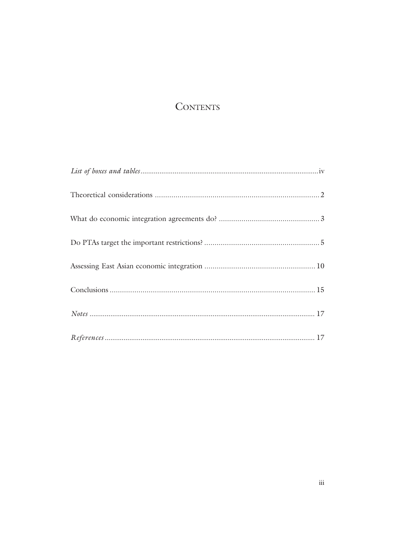### **CONTENTS**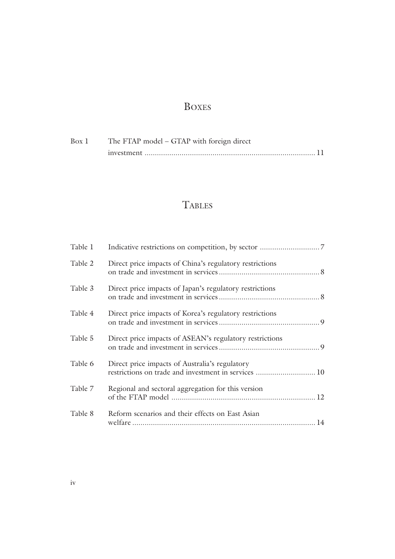## BOXES

| Box 1 The FTAP model – GTAP with foreign direct |
|-------------------------------------------------|
|                                                 |

## **TABLES**

| Table 1 |                                                                                                        |  |
|---------|--------------------------------------------------------------------------------------------------------|--|
| Table 2 | Direct price impacts of China's regulatory restrictions                                                |  |
| Table 3 | Direct price impacts of Japan's regulatory restrictions                                                |  |
| Table 4 | Direct price impacts of Korea's regulatory restrictions                                                |  |
| Table 5 | Direct price impacts of ASEAN's regulatory restrictions                                                |  |
| Table 6 | Direct price impacts of Australia's regulatory<br>restrictions on trade and investment in services  10 |  |
| Table 7 | Regional and sectoral aggregation for this version                                                     |  |
| Table 8 | Reform scenarios and their effects on East Asian                                                       |  |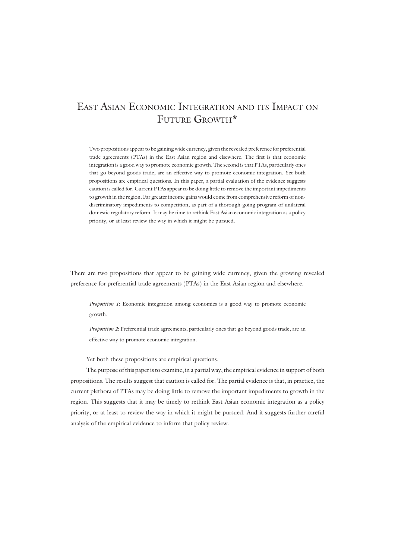## EAST ASIAN ECONOMIC INTEGRATION AND ITS IMPACT ON FUTURE GROWTH\*

Two propositions appear to be gaining wide currency, given the revealed preference for preferential trade agreements (PTAs) in the East Asian region and elsewhere. The first is that economic integration is a good way to promote economic growth. The second is that PTAs, particularly ones that go beyond goods trade, are an effective way to promote economic integration. Yet both propositions are empirical questions. In this paper, a partial evaluation of the evidence suggests caution is called for. Current PTAs appear to be doing little to remove the important impediments to growth in the region. Far greater income gains would come from comprehensive reform of nondiscriminatory impediments to competition, as part of a thorough-going program of unilateral domestic regulatory reform. It may be time to rethink East Asian economic integration as a policy priority, or at least review the way in which it might be pursued.

There are two propositions that appear to be gaining wide currency, given the growing revealed preference for preferential trade agreements (PTAs) in the East Asian region and elsewhere.

*Proposition 1*: Economic integration among economies is a good way to promote economic growth.

*Proposition 2*: Preferential trade agreements, particularly ones that go beyond goods trade, are an effective way to promote economic integration.

Yet both these propositions are empirical questions.

The purpose of this paper is to examine, in a partial way, the empirical evidence in support of both propositions. The results suggest that caution is called for. The partial evidence is that, in practice, the current plethora of PTAs may be doing little to remove the important impediments to growth in the region. This suggests that it may be timely to rethink East Asian economic integration as a policy priority, or at least to review the way in which it might be pursued. And it suggests further careful analysis of the empirical evidence to inform that policy review.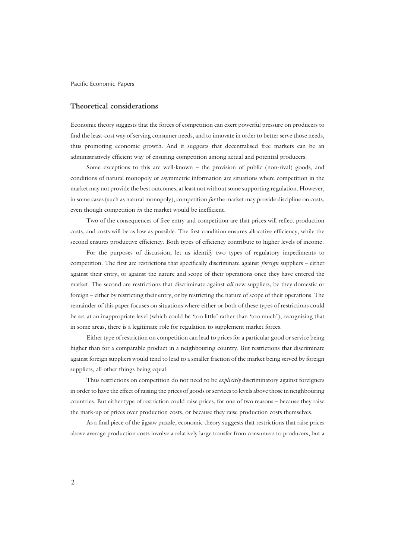#### **Theoretical considerations**

Economic theory suggests that the forces of competition can exert powerful pressure on producers to find the least-cost way of serving consumer needs, and to innovate in order to better serve those needs, thus promoting economic growth. And it suggests that decentralised free markets can be an administratively efficient way of ensuring competition among actual and potential producers.

Some exceptions to this are well-known – the provision of public (non-rival) goods, and conditions of natural monopoly or asymmetric information are situations where competition in the market may not provide the best outcomes, at least not without some supporting regulation. However, in some cases (such as natural monopoly), competition *for* the market may provide discipline on costs, even though competition *in* the market would be inefficient.

Two of the consequences of free entry and competition are that prices will reflect production costs, and costs will be as low as possible. The first condition ensures allocative efficiency, while the second ensures productive efficiency. Both types of efficiency contribute to higher levels of income.

For the purposes of discussion, let us identify two types of regulatory impediments to competition. The first are restrictions that specifically discriminate against *foreign* suppliers – either against their entry, or against the nature and scope of their operations once they have entered the market. The second are restrictions that discriminate against *all* new suppliers, be they domestic or foreign – either by restricting their entry, or by restricting the nature of scope of their operations. The remainder of this paper focuses on situations where either or both of these types of restrictions could be set at an inappropriate level (which could be 'too little' rather than 'too much'), recognising that in some areas, there is a legitimate role for regulation to supplement market forces.

Either type of restriction on competition can lead to prices for a particular good or service being higher than for a comparable product in a neighbouring country. But restrictions that discriminate against foreign suppliers would tend to lead to a smaller fraction of the market being served by foreign suppliers, all other things being equal.

Thus restrictions on competition do not need to be *explicitly* discriminatory against foreigners in order to have the effect of raising the prices of goods or services to levels above those in neighbouring countries. But either type of restriction could raise prices, for one of two reasons – because they raise the mark-up of prices over production costs, or because they raise production costs themselves.

As a final piece of the jigsaw puzzle, economic theory suggests that restrictions that raise prices above average production costs involve a relatively large transfer from consumers to producers, but a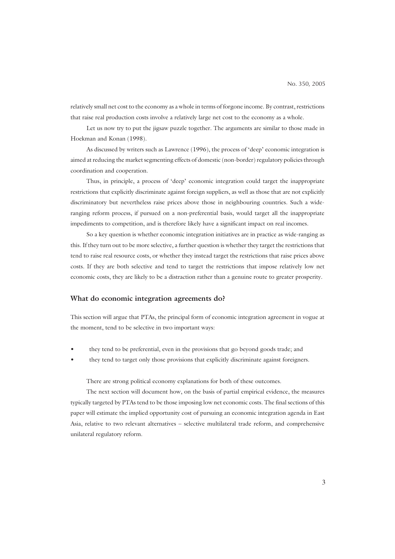relatively small net cost to the economy as a whole in terms of forgone income. By contrast, restrictions that raise real production costs involve a relatively large net cost to the economy as a whole.

Let us now try to put the jigsaw puzzle together. The arguments are similar to those made in Hoekman and Konan (1998).

As discussed by writers such as Lawrence (1996), the process of 'deep' economic integration is aimed at reducing the market segmenting effects of domestic (non-border) regulatory policies through coordination and cooperation.

Thus, in principle, a process of 'deep' economic integration could target the inappropriate restrictions that explicitly discriminate against foreign suppliers, as well as those that are not explicitly discriminatory but nevertheless raise prices above those in neighbouring countries. Such a wideranging reform process, if pursued on a non-preferential basis, would target all the inappropriate impediments to competition, and is therefore likely have a significant impact on real incomes.

So a key question is whether economic integration initiatives are in practice as wide-ranging as this. If they turn out to be more selective, a further question is whether they target the restrictions that tend to raise real resource costs, or whether they instead target the restrictions that raise prices above costs. If they are both selective and tend to target the restrictions that impose relatively low net economic costs, they are likely to be a distraction rather than a genuine route to greater prosperity.

#### **What do economic integration agreements do?**

This section will argue that PTAs, the principal form of economic integration agreement in vogue at the moment, tend to be selective in two important ways:

- they tend to be preferential, even in the provisions that go beyond goods trade; and
- they tend to target only those provisions that explicitly discriminate against foreigners.

There are strong political economy explanations for both of these outcomes.

The next section will document how, on the basis of partial empirical evidence, the measures typically targeted by PTAs tend to be those imposing low net economic costs. The final sections of this paper will estimate the implied opportunity cost of pursuing an economic integration agenda in East Asia, relative to two relevant alternatives – selective multilateral trade reform, and comprehensive unilateral regulatory reform.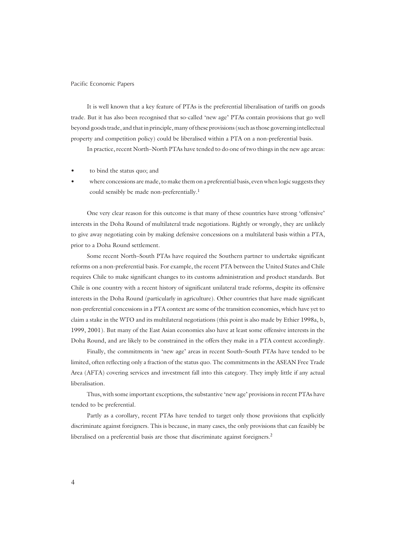It is well known that a key feature of PTAs is the preferential liberalisation of tariffs on goods trade. But it has also been recognised that so-called 'new age' PTAs contain provisions that go well beyond goods trade, and that in principle, many of these provisions (such as those governing intellectual property and competition policy) could be liberalised within a PTA on a non-preferential basis.

In practice, recent North–North PTAs have tended to do one of two things in the new age areas:

- to bind the status quo; and
- where concessions are made, to make them on a preferential basis, even when logic suggests they could sensibly be made non-preferentially.<sup>1</sup>

One very clear reason for this outcome is that many of these countries have strong 'offensive' interests in the Doha Round of multilateral trade negotiations. Rightly or wrongly, they are unlikely to give away negotiating coin by making defensive concessions on a multilateral basis within a PTA, prior to a Doha Round settlement.

Some recent North–South PTAs have required the Southern partner to undertake significant reforms on a non-preferential basis. For example, the recent PTA between the United States and Chile requires Chile to make significant changes to its customs administration and product standards. But Chile is one country with a recent history of significant unilateral trade reforms, despite its offensive interests in the Doha Round (particularly in agriculture). Other countries that have made significant non-preferential concessions in a PTA context are some of the transition economies, which have yet to claim a stake in the WTO and its multilateral negotiations (this point is also made by Ethier 1998a, b, 1999, 2001). But many of the East Asian economies also have at least some offensive interests in the Doha Round, and are likely to be constrained in the offers they make in a PTA context accordingly.

Finally, the commitments in 'new age' areas in recent South–South PTAs have tended to be limited, often reflecting only a fraction of the status quo. The commitments in the ASEAN Free Trade Area (AFTA) covering services and investment fall into this category. They imply little if any actual liberalisation.

Thus, with some important exceptions, the substantive 'new age' provisions in recent PTAs have tended to be preferential.

Partly as a corollary, recent PTAs have tended to target only those provisions that explicitly discriminate against foreigners. This is because, in many cases, the only provisions that can feasibly be liberalised on a preferential basis are those that discriminate against foreigners.<sup>2</sup>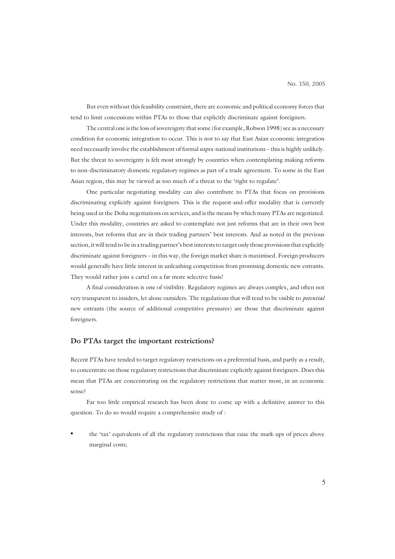But even without this feasibility constraint, there are economic and political economy forces that tend to limit concessions within PTAs to those that explicitly discriminate against foreigners.

The central one is the loss of sovereignty that some (for example, Robson 1998) see as a necessary condition for economic integration to occur. This is not to say that East Asian economic integration need necessarily involve the establishment of formal supra-national institutions – this is highly unlikely. But the threat to sovereignty is felt most strongly by countries when contemplating making reforms to non-discriminatory domestic regulatory regimes as part of a trade agreement. To some in the East Asian region, this may be viewed as too much of a threat to the 'right to regulate'.

One particular negotiating modality can also contribute to PTAs that focus on provisions discriminating explicitly against foreigners. This is the request-and-offer modality that is currently being used in the Doha negotiations on services, and is the means by which many PTAs are negotiated. Under this modality, countries are asked to contemplate not just reforms that are in their own best interests, but reforms that are in their trading partners' best interests. And as noted in the previous section, it will tend to be in a trading partner's best interests to target only those provisions that explicitly discriminate against foreigners – in this way, the foreign market share is maximised. Foreign producers would generally have little interest in unleashing competition from promising domestic new entrants. They would rather join a cartel on a far more selective basis!

A final consideration is one of visibility. Regulatory regimes are always complex, and often not very transparent to insiders, let alone outsiders. The regulations that will tend to be visible to *potential* new entrants (the source of additional competitive pressures) are those that discriminate against foreigners.

#### **Do PTAs target the important restrictions?**

Recent PTAs have tended to target regulatory restrictions on a preferential basis, and partly as a result, to concentrate on those regulatory restrictions that discriminate explicitly against foreigners. Does this mean that PTAs are concentrating on the regulatory restrictions that matter most, in an economic sense?

Far too little empirical research has been done to come up with a definitive answer to this question. To do so would require a comprehensive study of :

• the 'tax' equivalents of all the regulatory restrictions that raise the mark-ups of prices above marginal costs;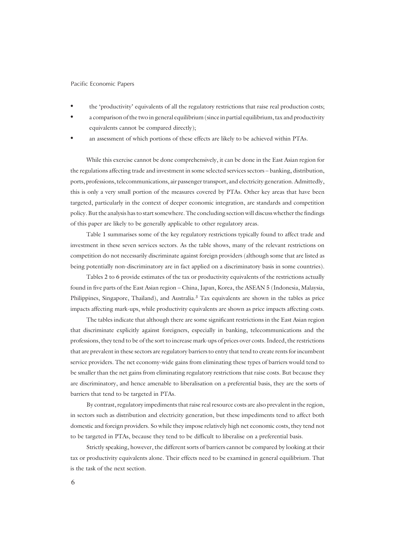- the 'productivity' equivalents of all the regulatory restrictions that raise real production costs;
- a comparison of the two in general equilibrium (since in partial equilibrium, tax and productivity equivalents cannot be compared directly);
- an assessment of which portions of these effects are likely to be achieved within PTAs.

While this exercise cannot be done comprehensively, it can be done in the East Asian region for the regulations affecting trade and investment in some selected services sectors – banking, distribution, ports, professions, telecommunications, air passenger transport, and electricity generation. Admittedly, this is only a very small portion of the measures covered by PTAs. Other key areas that have been targeted, particularly in the context of deeper economic integration, are standards and competition policy. But the analysis has to start somewhere. The concluding section will discuss whether the findings of this paper are likely to be generally applicable to other regulatory areas.

Table 1 summarises some of the key regulatory restrictions typically found to affect trade and investment in these seven services sectors. As the table shows, many of the relevant restrictions on competition do not necessarily discriminate against foreign providers (although some that are listed as being potentially non-discriminatory are in fact applied on a discriminatory basis in some countries).

Tables 2 to 6 provide estimates of the tax or productivity equivalents of the restrictions actually found in five parts of the East Asian region – China, Japan, Korea, the ASEAN 5 (Indonesia, Malaysia, Philippines, Singapore, Thailand), and Australia.<sup>3</sup> Tax equivalents are shown in the tables as price impacts affecting mark-ups, while productivity equivalents are shown as price impacts affecting costs.

The tables indicate that although there are some significant restrictions in the East Asian region that discriminate explicitly against foreigners, especially in banking, telecommunications and the professions, they tend to be of the sort to increase mark-ups of prices over costs. Indeed, the restrictions that are prevalent in these sectors are regulatory barriers to entry that tend to create rents for incumbent service providers. The net economy-wide gains from eliminating these types of barriers would tend to be smaller than the net gains from eliminating regulatory restrictions that raise costs. But because they are discriminatory, and hence amenable to liberalisation on a preferential basis, they are the sorts of barriers that tend to be targeted in PTAs.

By contrast, regulatory impediments that raise real resource costs are also prevalent in the region, in sectors such as distribution and electricity generation, but these impediments tend to affect both domestic and foreign providers. So while they impose relatively high net economic costs, they tend not to be targeted in PTAs, because they tend to be difficult to liberalise on a preferential basis.

Strictly speaking, however, the different sorts of barriers cannot be compared by looking at their tax or productivity equivalents alone. Their effects need to be examined in general equilibrium. That is the task of the next section.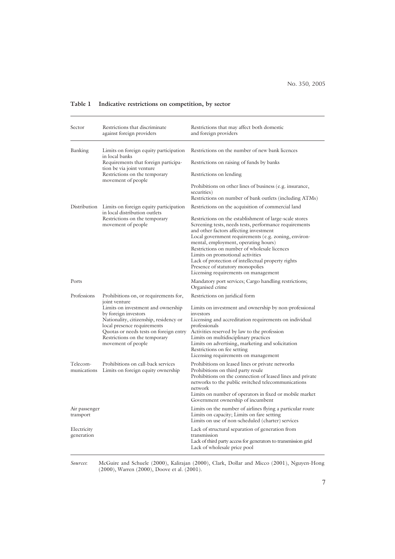| Sector                     | Restrictions that discriminate<br>against foreign providers                                                                                                                                                                                           | Restrictions that may affect both domestic<br>and foreign providers                                                                                                                                                                                                                                                                                                                                                                                                               |
|----------------------------|-------------------------------------------------------------------------------------------------------------------------------------------------------------------------------------------------------------------------------------------------------|-----------------------------------------------------------------------------------------------------------------------------------------------------------------------------------------------------------------------------------------------------------------------------------------------------------------------------------------------------------------------------------------------------------------------------------------------------------------------------------|
| Banking                    | Limits on foreign equity participation<br>in local banks                                                                                                                                                                                              | Restrictions on the number of new bank licences                                                                                                                                                                                                                                                                                                                                                                                                                                   |
|                            | Requirements that foreign participa-                                                                                                                                                                                                                  | Restrictions on raising of funds by banks                                                                                                                                                                                                                                                                                                                                                                                                                                         |
|                            | tion be via joint venture<br>Restrictions on the temporary<br>movement of people                                                                                                                                                                      | Restrictions on lending                                                                                                                                                                                                                                                                                                                                                                                                                                                           |
|                            |                                                                                                                                                                                                                                                       | Prohibitions on other lines of business (e.g. insurance,<br>securities)                                                                                                                                                                                                                                                                                                                                                                                                           |
|                            | Distribution Limits on foreign equity participation                                                                                                                                                                                                   | Restrictions on number of bank outlets (including ATMs)<br>Restrictions on the acquisition of commercial land                                                                                                                                                                                                                                                                                                                                                                     |
|                            | in local distribution outlets                                                                                                                                                                                                                         |                                                                                                                                                                                                                                                                                                                                                                                                                                                                                   |
|                            | Restrictions on the temporary<br>movement of people                                                                                                                                                                                                   | Restrictions on the establishment of large-scale stores<br>Screening tests, needs tests, performance requirements<br>and other factors affecting investment<br>Local government requirements (e.g. zoning, environ-<br>mental, employment, operating hours)<br>Restrictions on number of wholesale licences<br>Limits on promotional activities<br>Lack of protection of intellectual property rights<br>Presence of statutory monopolies<br>Licensing requirements on management |
| Ports                      |                                                                                                                                                                                                                                                       | Mandatory port services; Cargo handling restrictions;<br>Organised crime                                                                                                                                                                                                                                                                                                                                                                                                          |
| Professions                | Prohibitions on, or requirements for,                                                                                                                                                                                                                 | Restrictions on juridical form                                                                                                                                                                                                                                                                                                                                                                                                                                                    |
|                            | joint venture<br>Limits on investment and ownership<br>by foreign investors<br>Nationality, citizenship, residency or<br>local presence requirements<br>Quotas or needs tests on foreign entry<br>Restrictions on the temporary<br>movement of people | Limits on investment and ownership by non-professional<br>investors<br>Licensing and accreditation requirements on individual<br>professionals<br>Activities reserved by law to the profession<br>Limits on multidisciplinary practices<br>Limits on advertising, marketing and solicitation<br>Restrictions on fee setting<br>Licensing requirements on management                                                                                                               |
| Telecom-<br>munications    | Prohibitions on call-back services<br>Limits on foreign equity ownership                                                                                                                                                                              | Prohibitions on leased lines or private networks<br>Prohibitions on third party resale<br>Prohibitions on the connection of leased lines and private<br>networks to the public switched telecommunications<br>network<br>Limits on number of operators in fixed or mobile market<br>Government ownership of incumbent                                                                                                                                                             |
| Air passenger<br>transport |                                                                                                                                                                                                                                                       | Limits on the number of airlines flying a particular route<br>Limits on capacity; Limits on fare setting<br>Limits on use of non-scheduled (charter) services                                                                                                                                                                                                                                                                                                                     |
| Electricity<br>generation  |                                                                                                                                                                                                                                                       | Lack of structural separation of generation from<br>transmission<br>Lack of third party access for generators to transmission grid<br>Lack of wholesale price pool                                                                                                                                                                                                                                                                                                                |

#### **Table 1 Indicative restrictions on competition, by sector**

*Sources*: McGuire and Schuele (2000), Kalirajan (2000), Clark, Dollar and Micco (2001), Nguyen-Hong (2000), Warren (2000), Doove et al. (2001).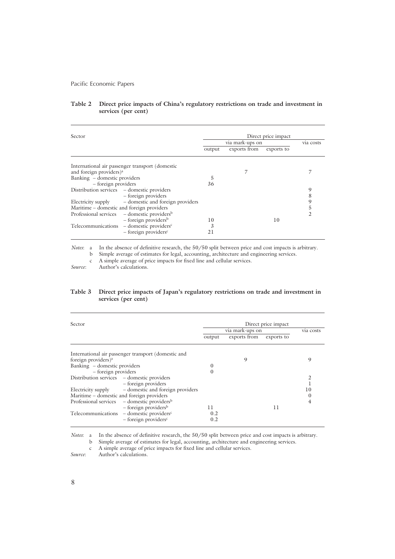#### **Table 2 Direct price impacts of China's regulatory restrictions on trade and investment in services (per cent)**

| Sector                                                    | Direct price impact |                 |            |                |
|-----------------------------------------------------------|---------------------|-----------------|------------|----------------|
|                                                           |                     | via mark-ups on |            | via costs      |
|                                                           | output              | exports from    | exports to |                |
| International air passenger transport (domestic           |                     |                 |            |                |
| and foreign providers) <sup>a</sup>                       |                     |                 |            |                |
| Banking – domestic providers                              | 5                   |                 |            |                |
| - foreign providers                                       | 36                  |                 |            |                |
| Distribution services – domestic providers                |                     |                 |            | 9              |
| - foreign providers                                       |                     |                 |            | 8              |
| Electricity supply - domestic and foreign providers       |                     |                 |            | 9              |
| Maritime - domestic and foreign providers                 |                     |                 |            | 5              |
| Professional services - domestic providersb               |                     |                 |            | $\overline{c}$ |
| $-$ foreign providers <sup>b</sup>                        | 10                  |                 | 10         |                |
| Telecommunications<br>$-$ domestic providers <sup>c</sup> | 3                   |                 |            |                |
| $-$ foreign providers <sup>c</sup>                        | 21                  |                 |            |                |

*Notes*: a In the absence of definitive research, the 50/50 split between price and cost impacts is arbitrary.<br>b Simple average of estimates for legal, accounting, architecture and engineering services. b Simple average of estimates for legal, accounting, architecture and engineering services.<br>
c A simple average of price impacts for fixed line and cellular services.

A simple average of price impacts for fixed line and cellular services.

*Source*: Author's calculations.

#### **Table 3 Direct price impacts of Japan's regulatory restrictions on trade and investment in services (per cent)**

| Sector                                    |                                                         | Direct price impact |                 |            |           |
|-------------------------------------------|---------------------------------------------------------|---------------------|-----------------|------------|-----------|
|                                           |                                                         |                     | via mark-ups on |            | via costs |
|                                           |                                                         | output              | exports from    | exports to |           |
|                                           | International air passenger transport (domestic and     |                     |                 |            |           |
| foreign providers) <sup>a</sup>           |                                                         |                     | 9               |            | 9         |
| Banking – domestic providers              |                                                         |                     |                 |            |           |
| - foreign providers                       |                                                         | $\mathbf{\Omega}$   |                 |            |           |
|                                           | Distribution services – domestic providers              |                     |                 |            |           |
|                                           | - foreign providers                                     |                     |                 |            |           |
|                                           | Electricity supply - domestic and foreign providers     |                     |                 |            | 10        |
| Maritime – domestic and foreign providers |                                                         |                     |                 |            | $\theta$  |
|                                           | Professional services – domestic providers <sup>b</sup> |                     |                 |            | 4         |
|                                           | $-$ foreign providers <sup>b</sup>                      | 11                  |                 | 11         |           |
|                                           | Telecommunications - domestic providers <sup>c</sup>    | 0.2                 |                 |            |           |
|                                           | $-$ foreign providers <sup>c</sup>                      | 0.2                 |                 |            |           |

*Notes*: a In the absence of definitive research, the 50/50 split between price and cost impacts is arbitrary.<br>b Simple average of estimates for legal, accounting, architecture and engineering services. Simple average of estimates for legal, accounting, architecture and engineering services.

c A simple average of price impacts for fixed line and cellular services.

*Source*: Author's calculations.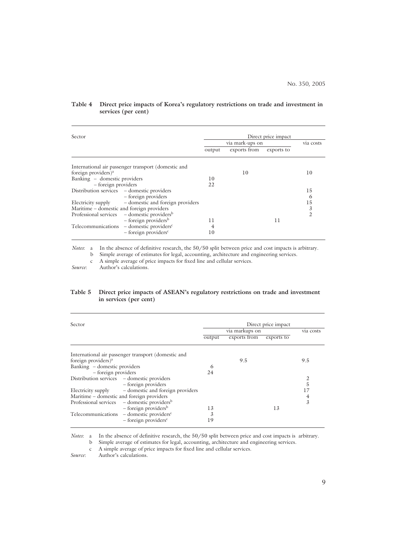#### **Table 4 Direct price impacts of Korea's regulatory restrictions on trade and investment in services (per cent)**

| Sector                                                  |        | Direct price impact |            |                |
|---------------------------------------------------------|--------|---------------------|------------|----------------|
|                                                         |        | via mark-ups on     |            | via costs      |
|                                                         | output | exports from        | exports to |                |
| International air passenger transport (domestic and     |        |                     |            |                |
| foreign providers) <sup>a</sup>                         |        | 10                  |            | 10             |
| Banking – domestic providers                            | 10     |                     |            |                |
| - foreign providers                                     | 22     |                     |            |                |
| Distribution services – domestic providers              |        |                     |            | 15             |
| - foreign providers                                     |        |                     |            | O              |
| Electricity supply - domestic and foreign providers     |        |                     |            | 15             |
| Maritime - domestic and foreign providers               |        |                     |            | 3              |
| Professional services – domestic providers <sup>b</sup> |        |                     |            | $\overline{2}$ |
| $-$ foreign providers <sup>b</sup>                      | 11     |                     | 11         |                |
| - domestic providers <sup>c</sup><br>Telecommunications | 4      |                     |            |                |
| $-$ foreign providers <sup>c</sup>                      | 10     |                     |            |                |

*Notes*: a In the absence of definitive research, the 50/50 split between price and cost impacts is arbitrary. b Simple average of estimates for legal, accounting, architecture and engineering services.

c A simple average of price impacts for fixed line and cellular services.

*Source*: Author's calculations.

#### **Table 5 Direct price impacts of ASEAN's regulatory restrictions on trade and investment in services (per cent)**

| Sector                                    |                                                         | Direct price impact |                |            |           |
|-------------------------------------------|---------------------------------------------------------|---------------------|----------------|------------|-----------|
|                                           |                                                         |                     | via markups on |            | via costs |
|                                           |                                                         | output              | exports from   | exports to |           |
|                                           | International air passenger transport (domestic and     |                     |                |            |           |
| foreign providers) <sup>a</sup>           |                                                         |                     | 9.5            |            | 9.5       |
| Banking – domestic providers              |                                                         | 6                   |                |            |           |
| - foreign providers                       |                                                         | 24                  |                |            |           |
|                                           | Distribution services – domestic providers              |                     |                |            |           |
|                                           | - foreign providers                                     |                     |                |            | 2<br>5    |
|                                           | Electricity supply - domestic and foreign providers     |                     |                |            | 17        |
| Maritime - domestic and foreign providers |                                                         |                     |                |            | 4         |
|                                           | Professional services - domestic providers <sup>b</sup> |                     |                |            | 3         |
|                                           | $-$ foreign providers <sup>b</sup>                      | 13                  |                | 13         |           |
|                                           | Telecommunications $-$ domestic providers <sup>c</sup>  | 3                   |                |            |           |
|                                           | $-$ foreign providers <sup>c</sup>                      | 19                  |                |            |           |

*Notes*: a In the absence of definitive research, the 50/50 split between price and cost impacts is arbitrary.<br>b Simple average of estimates for legal, accounting, architecture and engineering services. Simple average of estimates for legal, accounting, architecture and engineering services.

c A simple average of price impacts for fixed line and cellular services.

*Source*: Author's calculations.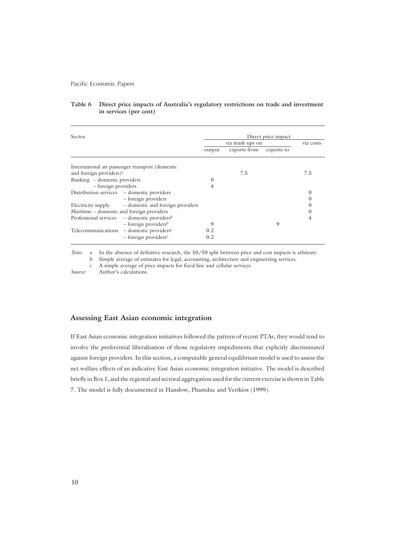#### **Table 6 Direct price impacts of Australia's regulatory restrictions on trade and investment in services (per cent)**

| via mark-ups on<br>exports from<br>output<br>exports to<br>International air passenger transport (domestic<br>7.5<br>and foreign providers) <sup>a</sup><br>7.5<br>Banking - domestic providers<br>0<br>- foreign providers<br>4<br>Distribution services – domestic providers<br>$\Omega$<br>- foreign providers<br>Electricity supply - domestic and foreign providers<br>Maritime - domestic and foreign providers<br>$-$ domestic providers <sup>b</sup><br>Professional services<br>4<br>$-$ foreign providers <sup>b</sup><br>9<br>9<br>$-$ domestic providers <sup>c</sup><br>Telecommunications<br>0.2 | Sector |  | Direct price impact |  |  |           |
|----------------------------------------------------------------------------------------------------------------------------------------------------------------------------------------------------------------------------------------------------------------------------------------------------------------------------------------------------------------------------------------------------------------------------------------------------------------------------------------------------------------------------------------------------------------------------------------------------------------|--------|--|---------------------|--|--|-----------|
|                                                                                                                                                                                                                                                                                                                                                                                                                                                                                                                                                                                                                |        |  |                     |  |  | via costs |
|                                                                                                                                                                                                                                                                                                                                                                                                                                                                                                                                                                                                                |        |  |                     |  |  |           |
|                                                                                                                                                                                                                                                                                                                                                                                                                                                                                                                                                                                                                |        |  |                     |  |  |           |
|                                                                                                                                                                                                                                                                                                                                                                                                                                                                                                                                                                                                                |        |  |                     |  |  |           |
|                                                                                                                                                                                                                                                                                                                                                                                                                                                                                                                                                                                                                |        |  |                     |  |  |           |
|                                                                                                                                                                                                                                                                                                                                                                                                                                                                                                                                                                                                                |        |  |                     |  |  |           |
|                                                                                                                                                                                                                                                                                                                                                                                                                                                                                                                                                                                                                |        |  |                     |  |  |           |
|                                                                                                                                                                                                                                                                                                                                                                                                                                                                                                                                                                                                                |        |  |                     |  |  |           |
|                                                                                                                                                                                                                                                                                                                                                                                                                                                                                                                                                                                                                |        |  |                     |  |  |           |
|                                                                                                                                                                                                                                                                                                                                                                                                                                                                                                                                                                                                                |        |  |                     |  |  |           |
|                                                                                                                                                                                                                                                                                                                                                                                                                                                                                                                                                                                                                |        |  |                     |  |  |           |
|                                                                                                                                                                                                                                                                                                                                                                                                                                                                                                                                                                                                                |        |  |                     |  |  |           |
|                                                                                                                                                                                                                                                                                                                                                                                                                                                                                                                                                                                                                |        |  |                     |  |  |           |
| $-$ foreign providers <sup>c</sup><br>0.2                                                                                                                                                                                                                                                                                                                                                                                                                                                                                                                                                                      |        |  |                     |  |  |           |

*Note*: a In the absence of definitive research, the 50/50 split between price and cost impacts is arbitrary. b Simple average of estimates for legal, accounting, architecture and engineering services.

c A simple average of price impacts for fixed line and cellular services.

*Source*: Author's calculations.

#### **Assessing East Asian economic integration**

If East Asian economic integration initiatives followed the pattern of recent PTAs, they would tend to involve the preferential liberalisation of those regulatory impediments that explicitly discriminated against foreign providers. In this section, a computable general equilibrium model is used to assess the net welfare effects of an indicative East Asian economic integration initiative. The model is described briefly in Box 1, and the regional and sectoral aggregation used for the current exercise is shown in Table 7. The model is fully documented in Hanslow, Phamduc and Verikios (1999).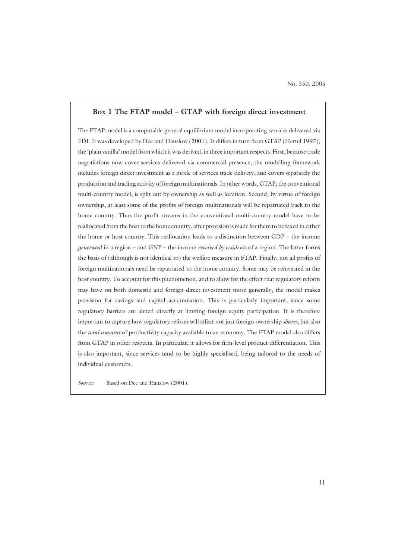#### **Box 1 The FTAP model – GTAP with foreign direct investment**

The FTAP model is a computable general equilibrium model incorporating services delivered via FDI. It was developed by Dee and Hanslow (2001). It differs in turn from GTAP (Hertel 1997), the 'plain vanilla' model from which it was derived, in three important respects. First, because trade negotiations now cover services delivered via commercial presence, the modelling framework includes foreign direct investment as a mode of services trade delivery, and covers separately the production and trading activity of foreign multinationals. In other words, GTAP, the conventional multi-country model, is split out by ownership as well as location. Second, by virtue of foreign ownership, at least some of the profits of foreign multinationals will be repatriated back to the home country. Thus the profit streams in the conventional multi-country model have to be reallocated from the host to the home country, after provision is made for them to be taxed in either the home or host country. This reallocation leads to a distinction between GDP – the income *generated* in a region – and GNP – the income *received by residents* of a region. The latter forms the basis of (although is not identical to) the welfare measure in FTAP. Finally, not all profits of foreign multinationals need be repatriated to the home country. Some may be reinvested in the host country. To account for this phenomenon, and to allow for the effect that regulatory reform may have on both domestic and foreign direct investment more generally, the model makes provision for savings and capital accumulation. This is particularly important, since some regulatory barriers are aimed directly at limiting foreign equity participation. It is therefore important to capture how regulatory reform will affect not just foreign ownership *shares*, but also the *total amount* of productivity capacity available to an economy. The FTAP model also differs from GTAP in other respects. In particular, it allows for firm-level product differentiation. This is also important, since services tend to be highly specialised, being tailored to the needs of individual customers.

*Source:* Based on Dee and Hanslow (2001).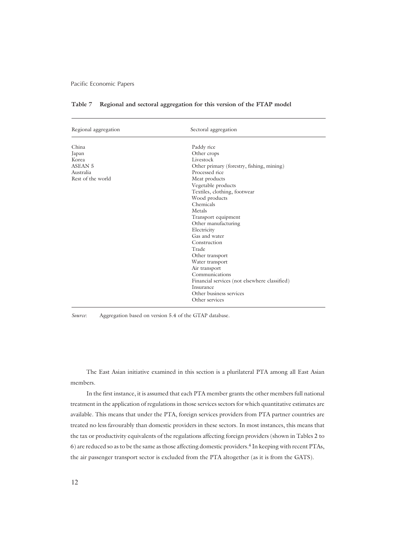| Other crops<br>Other primary (forestry, fishing, mining)<br>Processed rice<br>Meat products<br>Vegetable products<br>Textiles, clothing, footwear<br>Wood products<br>Transport equipment<br>Other manufacturing<br>Gas and water<br>Construction<br>Other transport<br>Water transport<br>Air transport<br>Communications<br>Financial services (not elsewhere classified)<br>Other business services<br>Other services |
|--------------------------------------------------------------------------------------------------------------------------------------------------------------------------------------------------------------------------------------------------------------------------------------------------------------------------------------------------------------------------------------------------------------------------|
|                                                                                                                                                                                                                                                                                                                                                                                                                          |

#### **Table 7 Regional and sectoral aggregation for this version of the FTAP model**

*Source*: Aggregation based on version 5.4 of the GTAP database.

The East Asian initiative examined in this section is a plurilateral PTA among all East Asian members.

In the first instance, it is assumed that each PTA member grants the other members full national treatment in the application of regulations in those services sectors for which quantitative estimates are available. This means that under the PTA, foreign services providers from PTA partner countries are treated no less favourably than domestic providers in these sectors. In most instances, this means that the tax or productivity equivalents of the regulations affecting foreign providers (shown in Tables 2 to 6) are reduced so as to be the same as those affecting domestic providers.4 In keeping with recent PTAs, the air passenger transport sector is excluded from the PTA altogether (as it is from the GATS).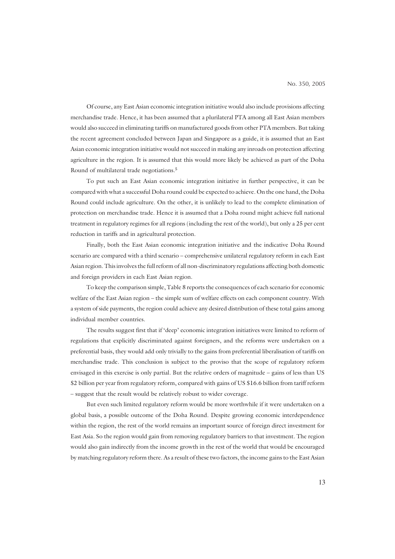Of course, any East Asian economic integration initiative would also include provisions affecting merchandise trade. Hence, it has been assumed that a plurilateral PTA among all East Asian members would also succeed in eliminating tariffs on manufactured goods from other PTA members. But taking the recent agreement concluded between Japan and Singapore as a guide, it is assumed that an East Asian economic integration initiative would not succeed in making any inroads on protection affecting agriculture in the region. It is assumed that this would more likely be achieved as part of the Doha Round of multilateral trade negotiations.<sup>5</sup>

To put such an East Asian economic integration initiative in further perspective, it can be compared with what a successful Doha round could be expected to achieve. On the one hand, the Doha Round could include agriculture. On the other, it is unlikely to lead to the complete elimination of protection on merchandise trade. Hence it is assumed that a Doha round might achieve full national treatment in regulatory regimes for all regions (including the rest of the world), but only a 25 per cent reduction in tariffs and in agricultural protection.

Finally, both the East Asian economic integration initiative and the indicative Doha Round scenario are compared with a third scenario – comprehensive unilateral regulatory reform in each East Asian region. This involves the full reform of all non-discriminatory regulations affecting both domestic and foreign providers in each East Asian region.

To keep the comparison simple, Table 8 reports the consequences of each scenario for economic welfare of the East Asian region – the simple sum of welfare effects on each component country. With a system of side payments, the region could achieve any desired distribution of these total gains among individual member countries.

The results suggest first that if 'deep' economic integration initiatives were limited to reform of regulations that explicitly discriminated against foreigners, and the reforms were undertaken on a preferential basis, they would add only trivially to the gains from preferential liberalisation of tariffs on merchandise trade. This conclusion is subject to the proviso that the scope of regulatory reform envisaged in this exercise is only partial. But the relative orders of magnitude – gains of less than US \$2 billion per year from regulatory reform, compared with gains of US \$16.6 billion from tariff reform – suggest that the result would be relatively robust to wider coverage.

But even such limited regulatory reform would be more worthwhile if it were undertaken on a global basis, a possible outcome of the Doha Round. Despite growing economic interdependence within the region, the rest of the world remains an important source of foreign direct investment for East Asia. So the region would gain from removing regulatory barriers to that investment. The region would also gain indirectly from the income growth in the rest of the world that would be encouraged by matching regulatory reform there. As a result of these two factors, the income gains to the East Asian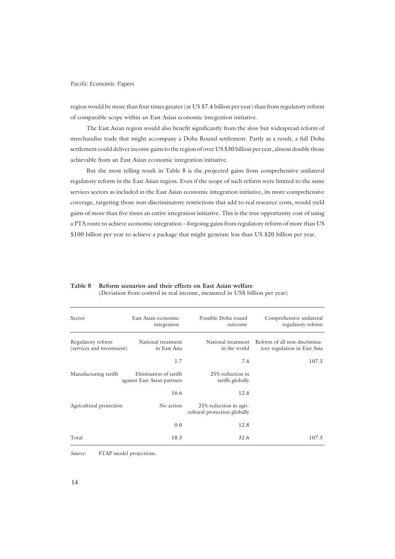region would be more than four times greater (at US \$7.4 billion per year) than from regulatory reform of comparable scope within an East Asian economic integration initiative.

The East Asian region would also benefit significantly from the slow but widespread reform of merchandise trade that might accompany a Doha Round settlement. Partly as a result, a full Doha settlement could deliver income gains to the region of over US \$30 billion per year, almost double those achievable from an East Asian economic integration initiative.

But the most telling result in Table 8 is the projected gains from comprehensive unilateral regulatory reform in the East Asian region. Even if the scope of such reform were limited to the same services sectors as included in the East Asian economic integration initiative, its more comprehensive coverage, targeting those non-discriminatory restrictions that add to real resource costs, would yield gains of more than five times an entire integration initiative. This is the true opportunity cost of using a PTA route to achieve economic integration – forgoing gains from regulatory reform of more than US \$100 billion per year to achieve a package that might generate less than US \$20 billion per year.

| Sector                                         | East Asian economic<br>integration                    | Possible Doha round<br>outcome                         | Comprehensive unilateral<br>regulatory reform                 |
|------------------------------------------------|-------------------------------------------------------|--------------------------------------------------------|---------------------------------------------------------------|
|                                                |                                                       |                                                        |                                                               |
| Regulatory reform<br>(services and investment) | National treatment<br>in East Asia                    | National treatment<br>in the world                     | Reform of all non-discrimina-<br>tory regulation in East Asia |
|                                                | 1.7                                                   | 7.4                                                    | 107.3                                                         |
| Manufacturing tariffs                          | Elimination of tariffs<br>against East Asian partners | 25% reduction in<br>tariffs globally                   |                                                               |
|                                                | 16.6                                                  | 12.4                                                   |                                                               |
| Agricultural protection                        | No action                                             | 25% reduction in agri-<br>cultural protection globally |                                                               |
|                                                | 0.0                                                   | 12.8                                                   |                                                               |
| Total                                          | 18.3                                                  | 32.6                                                   | 107.3                                                         |

**Table 8 Reform scenarios and their effects on East Asian welfare** (Deviation from control in real income, measured in US\$ billion per year)

*Source*: FTAP model projections.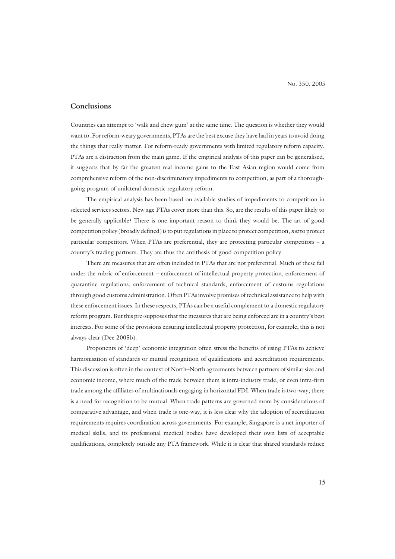No. 350, 2005

#### **Conclusions**

Countries can attempt to 'walk and chew gum' at the same time. The question is whether they would want to. For reform-weary governments, PTAs are the best excuse they have had in years to avoid doing the things that really matter. For reform-ready governments with limited regulatory reform capacity, PTAs are a distraction from the main game. If the empirical analysis of this paper can be generalised, it suggests that by far the greatest real income gains to the East Asian region would come from comprehensive reform of the non-discriminatory impediments to competition, as part of a thoroughgoing program of unilateral domestic regulatory reform.

The empirical analysis has been based on available studies of impediments to competition in selected services sectors. New age PTAs cover more than this. So, are the results of this paper likely to be generally applicable? There is one important reason to think they would be. The art of good competition policy (broadly defined) is to put regulations in place to protect competition, *not* to protect particular competitors. When PTAs are preferential, they are protecting particular competitors – a country's trading partners. They are thus the antithesis of good competition policy.

There are measures that are often included in PTAs that are not preferential. Much of these fall under the rubric of enforcement – enforcement of intellectual property protection, enforcement of quarantine regulations, enforcement of technical standards, enforcement of customs regulations through good customs administration. Often PTAs involve promises of technical assistance to help with these enforcement issues. In these respects, PTAs can be a useful complement to a domestic regulatory reform program. But this pre-supposes that the measures that are being enforced are in a country's best interests. For some of the provisions ensuring intellectual property protection, for example, this is not always clear (Dee 2005b).

Proponents of 'deep' economic integration often stress the benefits of using PTAs to achieve harmonisation of standards or mutual recognition of qualifications and accreditation requirements. This discussion is often in the context of North–North agreements between partners of similar size and economic income, where much of the trade between them is intra-industry trade, or even intra-firm trade among the affiliates of multinationals engaging in horizontal FDI. When trade is two-way, there is a need for recognition to be mutual. When trade patterns are governed more by considerations of comparative advantage, and when trade is one-way, it is less clear why the adoption of accreditation requirements requires coordination across governments. For example, Singapore is a net importer of medical skills, and its professional medical bodies have developed their own lists of acceptable qualifications, completely outside any PTA framework. While it is clear that shared standards reduce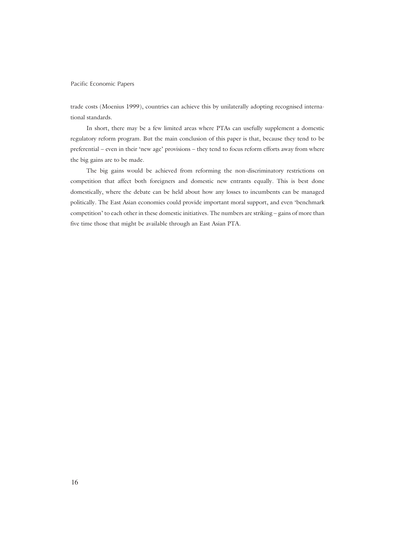trade costs (Moenius 1999), countries can achieve this by unilaterally adopting recognised international standards.

In short, there may be a few limited areas where PTAs can usefully supplement a domestic regulatory reform program. But the main conclusion of this paper is that, because they tend to be preferential – even in their 'new age' provisions – they tend to focus reform efforts away from where the big gains are to be made.

The big gains would be achieved from reforming the non-discriminatory restrictions on competition that affect both foreigners and domestic new entrants equally. This is best done domestically, where the debate can be held about how any losses to incumbents can be managed politically. The East Asian economies could provide important moral support, and even 'benchmark competition' to each other in these domestic initiatives. The numbers are striking – gains of more than five time those that might be available through an East Asian PTA.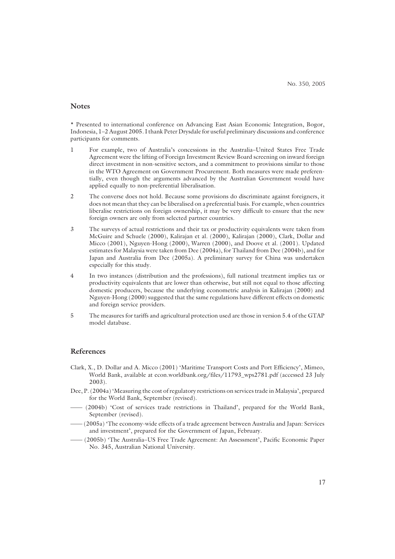#### **Notes**

\* Presented to international conference on Advancing East Asian Economic Integration, Bogor, Indonesia, 1–2 August 2005. I thank Peter Drysdale for useful preliminary discussions and conference participants for comments.

- 1 For example, two of Australia's concessions in the Australia–United States Free Trade Agreement were the lifting of Foreign Investment Review Board screening on inward foreign direct investment in non-sensitive sectors, and a commitment to provisions similar to those in the WTO Agreement on Government Procurement. Both measures were made preferentially, even though the arguments advanced by the Australian Government would have applied equally to non-preferential liberalisation.
- 2 The converse does not hold. Because some provisions do discriminate against foreigners, it does not mean that they can be liberalised on a preferential basis. For example, when countries liberalise restrictions on foreign ownership, it may be very difficult to ensure that the new foreign owners are only from selected partner countries.
- 3 The surveys of actual restrictions and their tax or productivity equivalents were taken from McGuire and Schuele (2000), Kalirajan et al. (2000), Kalirajan (2000), Clark, Dollar and Micco (2001), Nguyen-Hong (2000), Warren (2000), and Doove et al. (2001). Updated estimates for Malaysia were taken from Dee (2004a), for Thailand from Dee (2004b), and for Japan and Australia from Dee (2005a). A preliminary survey for China was undertaken especially for this study.
- 4 In two instances (distribution and the professions), full national treatment implies tax or productivity equivalents that are lower than otherwise, but still not equal to those affecting domestic producers, because the underlying econometric analysis in Kalirajan (2000) and Nguyen-Hong (2000) suggested that the same regulations have different effects on domestic and foreign service providers.
- 5 The measures for tariffs and agricultural protection used are those in version 5.4 of the GTAP model database.

#### **References**

- Clark, X., D. Dollar and A. Micco (2001) 'Maritime Transport Costs and Port Efficiency', Mimeo, World Bank, available at econ.worldbank.org/files/11793\_wps2781.pdf (accessed 23 July 2003).
- Dee, P. (2004a) 'Measuring the cost of regulatory restrictions on services trade in Malaysia', prepared for the World Bank, September (revised).
- —— (2004b) 'Cost of services trade restrictions in Thailand', prepared for the World Bank, September (revised).
- —— (2005a) 'The economy-wide effects of a trade agreement between Australia and Japan: Services and investment', prepared for the Government of Japan, February.
- —— (2005b) 'The Australia–US Free Trade Agreement: An Assessment', Pacific Economic Paper No. 345, Australian National University.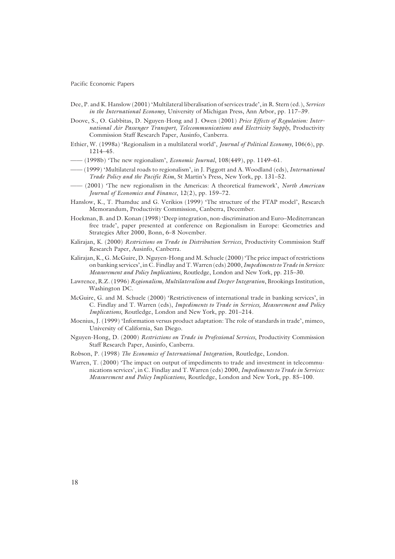- Dee, P. and K. Hanslow (2001) 'Multilateral liberalisation of services trade', in R. Stern (ed.), *Services in the International Economy*, University of Michigan Press, Ann Arbor, pp. 117–39.
- Doove, S., O. Gabbitas, D. Nguyen-Hong and J. Owen (2001) *Price Effects of Regulation: International Air Passenger Transport, Telecommunications and Electricity Supply*, Productivity Commission Staff Research Paper, Ausinfo, Canberra.
- Ethier, W. (1998a) 'Regionalism in a multilateral world', *Journal of Political Economy*, 106(6), pp. 1214–45.
- —— (1998b) 'The new regionalism', *Economic Journal*, 108(449), pp. 1149–61.
- —— (1999) 'Multilateral roads to regionalism', in J. Piggott and A. Woodland (eds), *International Trade Policy and the Pacific Rim*, St Martin's Press, New York, pp. 131–52.
- —— (2001) 'The new regionalism in the Americas: A theoretical framework', *North American Journal of Economics and Finance*, 12(2), pp. 159–72.
- Hanslow, K., T. Phamduc and G. Verikios (1999) 'The structure of the FTAP model', Research Memorandum, Productivity Commission, Canberra, December.
- Hoekman, B. and D. Konan (1998) 'Deep integration, non-discrimination and Euro–Mediterranean free trade', paper presented at conference on Regionalism in Europe: Geometries and Strategies After 2000, Bonn, 6–8 November.
- Kalirajan, K. (2000) *Restrictions on Trade in Distribution Services*, Productivity Commission Staff Research Paper, Ausinfo, Canberra.
- Kalirajan, K., G. McGuire, D. Nguyen-Hong and M. Schuele (2000) 'The price impact of restrictions on banking services', in C. Findlay and T. Warren (eds) 2000, *Impediments to Trade in Services: Measurement and Policy Implications*, Routledge, London and New York, pp. 215–30.
- Lawrence, R.Z. (1996) *Regionalism, Multilateralism and Deeper Integration*, Brookings Institution, Washington DC.
- McGuire, G. and M. Schuele (2000) 'Restrictiveness of international trade in banking services', in C. Findlay and T. Warren (eds), *Impediments to Trade in Services, Measurement and Policy Implications*, Routledge, London and New York, pp. 201–214.
- Moenius, J. (1999) 'Information versus product adaptation: The role of standards in trade', mimeo, University of California, San Diego.
- Nguyen-Hong, D. (2000) *Restrictions on Trade in Professional Services*, Productivity Commission Staff Research Paper, Ausinfo, Canberra.
- Robson, P. (1998) *The Economics of International Integration*, Routledge, London.
- Warren, T. (2000) 'The impact on output of impediments to trade and investment in telecommunications services', in C. Findlay and T. Warren (eds) 2000, *Impediments to Trade in Services: Measurement and Policy Implications*, Routledge, London and New York, pp. 85–100.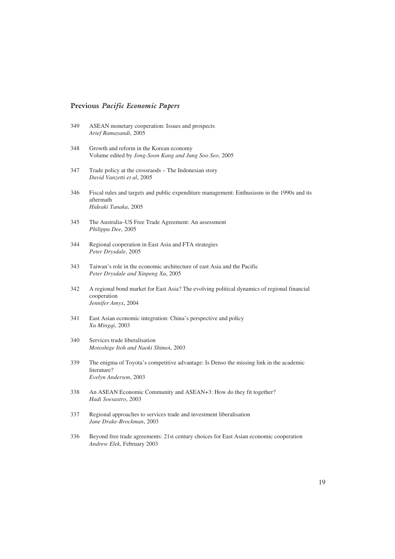#### **Previous** *Pacific Economic Papers*

- 349 ASEAN monetary cooperation: Issues and prospects *Arief Ramayandi*, 2005
- 348 Growth and reform in the Korean economy Volume edited by *Jong-Soon Kang and Jung Soo Seo*, 2005
- 347 Trade policy at the crossraods The Indonesian story *David Vanzetti et al*, 2005
- 346 Fiscal rules and targets and public expenditure management: Enthusiasm in the 1990s and its aftermath *Hideaki Tanaka*, 2005
- 345 The Australia–US Free Trade Agreement: An assessment *Philippa Dee*, 2005
- 344 Regional cooperation in East Asia and FTA strategies *Peter Drysdale*, 2005
- 343 Taiwan's role in the economic architecture of east Asia and the Pacific *Peter Drysdale and Xinpeng Xu*, 2005
- 342 A regional bond market for East Asia? The evolving political dynamics of regional financial cooperation *Jennifer Amyx*, 2004
- 341 East Asian economic integration: China's perspective and policy *Xu Mingqi*, 2003
- 340 Services trade liberalisation *Motoshige Itoh and Naoki Shimo*i, 2003
- 339 The enigma of Toyota's competitive advantage: Is Denso the missing link in the academic literature? *Evelyn Anderson*, 2003
- 338 An ASEAN Economic Community and ASEAN+3: How do they fit together? *Hadi Soesastro*, 2003
- 337 Regional approaches to services trade and investment liberalisation *Jane Drake-Brockman*, 2003
- 336 Beyond free trade agreements: 21st century choices for East Asian economic cooperation *Andrew Elek*, February 2003